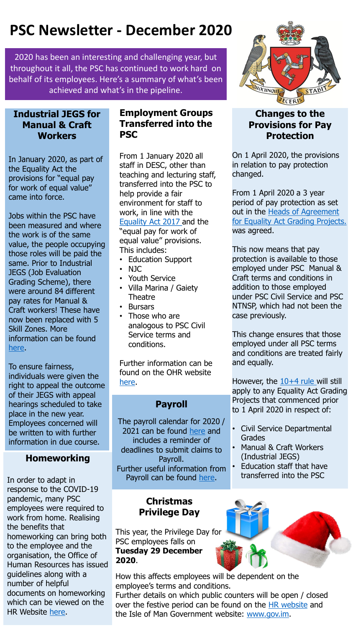# **PSC Newsletter - December 2020**

2020 has been an interesting and challenging year, but throughout it all, the PSC has continued to work hard on behalf of its employees. Here's a summary of what's been achieved and what's in the pipeline.

#### **Industrial JEGS for Manual & Craft Workers**

In January 2020, as part of the Equality Act the provisions for "equal pay for work of equal value" came into force.

Jobs within the PSC have been measured and where the work is of the same value, the people occupying those roles will be paid the same. Prior to Industrial JEGS (Job Evaluation Grading Scheme), there were around 84 different pay rates for Manual & Craft workers! These have now been replaced with 5 Skill Zones. More information can be found [here.](https://hr.gov.im/public-services-commission-equality-act-grading-projects/industrial-jegs-for-psc-manual-craft-workforce/)

To ensure fairness, individuals were given the right to appeal the outcome of their JEGS with appeal hearings scheduled to take place in the new year. Employees concerned will be written to with further information in due course.

# **Homeworking**

In order to adapt in response to the COVID-19 pandemic, many PSC employees were required to work from home. Realising the benefits that homeworking can bring both to the employee and the organisation, the Office of Human Resources has issued guidelines along with a number of helpful documents on homeworking which can be viewed on the HR Website [here.](https://hr.gov.im/policies-procedures-codes-guidance-and-forms/)

#### **Employment Groups Transferred into the PSC**

From 1 January 2020 all staff in DESC, other than teaching and lecturing staff, transferred into the PSC to help provide a fair environment for staff to work, in line with the [Equality Act 2017 a](https://legislation.gov.im/cms/images/LEGISLATION/PRINCIPAL/2017/2017-0005/EqualityAct2017_5.pdf)nd the "equal pay for work of equal value" provisions. This includes:

- Education Support
- NJC
- Youth Service
- Villa Marina / Gaiety **Theatre**
- Bursars
- Those who are analogous to PSC Civil Service terms and conditions.

Further information can be found on the OHR website [here.](https://hr.gov.im/public-services-commission-equality-act-grading-projects/employment-groups-transferred-to-the-psc/)

#### **Payroll**

The payroll calendar for 2020 / 2021 can be found [here](https://hr.gov.im/salary-leave-and-pay/payroll-calendar-for-2020-2021/) and includes a reminder of deadlines to submit claims to Payroll. Further useful information from Payroll can be found [here.](https://hr.gov.im/salary-leave-and-pay/payroll-deadlines/)

#### **Christmas Privilege Day**

This year, the Privilege Day for PSC employees falls on **Tuesday 29 December 2020**.

How this affects employees will be dependent on the employee's terms and conditions.

Further details on which public counters will be open / closed over the festive period can be found on the [HR website](https://hr.gov.im/news/news/ohr-news/closure-of-government-offices-over-christmas-new-year-period/) and the Isle of Man Government website: [www.gov.im](http://www.gov.im/).



## **Changes to the Provisions for Pay Protection**

On 1 April 2020, the provisions in relation to pay protection changed.

From 1 April 2020 a 3 year period of pay protection as set out in the **Heads of Agreement** [for Equality Act Grading Projects.](https://hr.gov.im/media/1772/grading-heads-of-agreement.pdf) was agreed.

This now means that pay protection is available to those employed under PSC Manual & Craft terms and conditions in addition to those employed under PSC Civil Service and PSC NTNSP, which had not been the case previously.

This change ensures that those employed under all PSC terms and conditions are treated fairly and equally.

However, the [10+4 rule w](https://hr.gov.im/media/1366/personal-protection-104-example-v3.pdf)ill still apply to any Equality Act Grading Projects that commenced prior to 1 April 2020 in respect of:

- Civil Service Departmental Grades
- Manual & Craft Workers (Industrial JEGS)
- Education staff that have transferred into the PSC